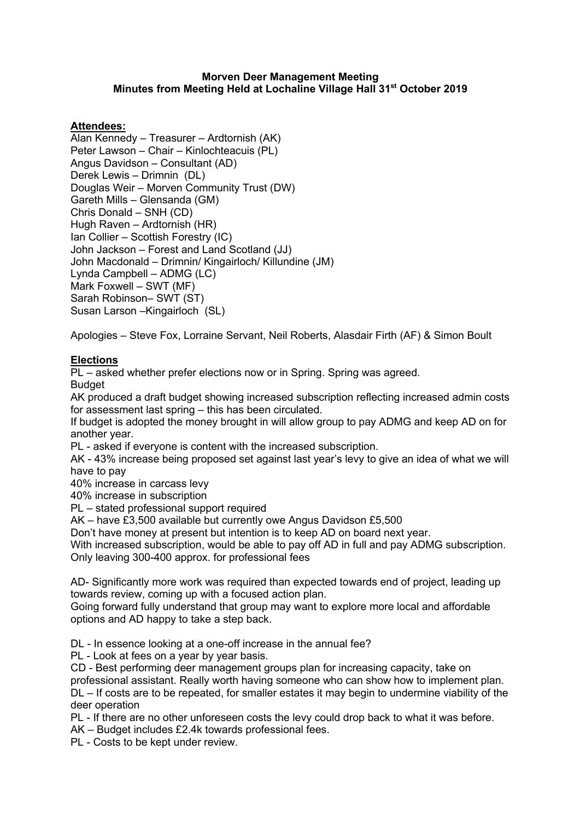#### **Morven Deer Management Meeting Minutes from Meeting Held at Lochaline Village Hall 31st October 2019**

# **Attendees:**

Alan Kennedy – Treasurer – Ardtornish (AK) Peter Lawson – Chair – Kinlochteacuis (PL) Angus Davidson – Consultant (AD) Derek Lewis – Drimnin (DL) Douglas Weir – Morven Community Trust (DW) Gareth Mills – Glensanda (GM) Chris Donald – SNH (CD) Hugh Raven – Ardtornish (HR) Ian Collier – Scottish Forestry (IC) John Jackson – Forest and Land Scotland (JJ) John Macdonald – Drimnin/ Kingairloch/ Killundine (JM) Lynda Campbell – ADMG (LC) Mark Foxwell – SWT (MF) Sarah Robinson– SWT (ST) Susan Larson –Kingairloch (SL)

Apologies – Steve Fox, Lorraine Servant, Neil Roberts, Alasdair Firth (AF) & Simon Boult

# **Elections**

PL – asked whether prefer elections now or in Spring. Spring was agreed.

**Budget** 

AK produced a draft budget showing increased subscription reflecting increased admin costs for assessment last spring – this has been circulated.

If budget is adopted the money brought in will allow group to pay ADMG and keep AD on for another year.

PL - asked if everyone is content with the increased subscription.

AK - 43% increase being proposed set against last year's levy to give an idea of what we will have to pay

40% increase in carcass levy

40% increase in subscription

PL – stated professional support required

AK – have £3,500 available but currently owe Angus Davidson £5,500

Don't have money at present but intention is to keep AD on board next year.

With increased subscription, would be able to pay off AD in full and pay ADMG subscription. Only leaving 300-400 approx. for professional fees

AD- Significantly more work was required than expected towards end of project, leading up towards review, coming up with a focused action plan.

Going forward fully understand that group may want to explore more local and affordable options and AD happy to take a step back.

DL - In essence looking at a one-off increase in the annual fee?

PL - Look at fees on a year by year basis.

CD - Best performing deer management groups plan for increasing capacity, take on

professional assistant. Really worth having someone who can show how to implement plan.

DL – If costs are to be repeated, for smaller estates it may begin to undermine viability of the deer operation

PL - If there are no other unforeseen costs the levy could drop back to what it was before.

AK – Budget includes £2.4k towards professional fees.

PL - Costs to be kept under review.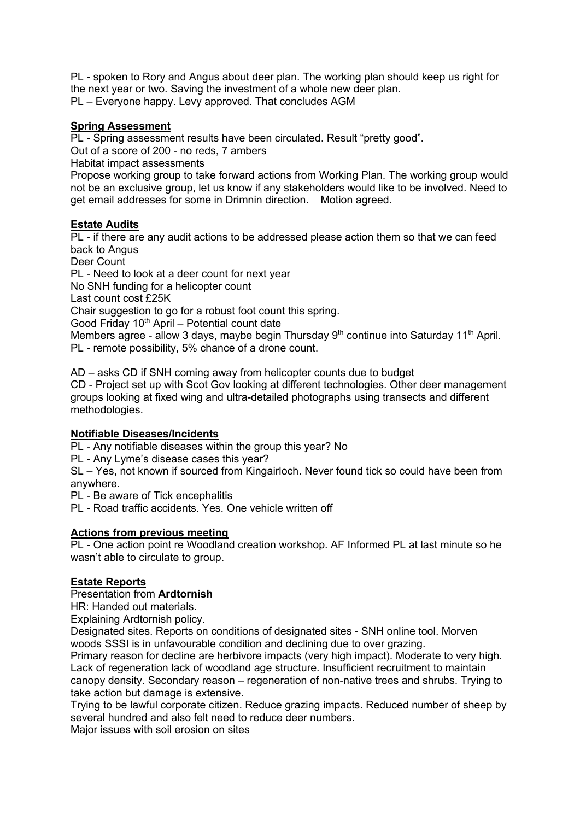PL - spoken to Rory and Angus about deer plan. The working plan should keep us right for the next year or two. Saving the investment of a whole new deer plan. PL – Everyone happy. Levy approved. That concludes AGM

# **Spring Assessment**

PL - Spring assessment results have been circulated. Result "pretty good".

Out of a score of 200 - no reds, 7 ambers

Habitat impact assessments

Propose working group to take forward actions from Working Plan. The working group would not be an exclusive group, let us know if any stakeholders would like to be involved. Need to get email addresses for some in Drimnin direction. Motion agreed.

# **Estate Audits**

PL - if there are any audit actions to be addressed please action them so that we can feed back to Angus

Deer Count

PL - Need to look at a deer count for next year

No SNH funding for a helicopter count

Last count cost £25K

Chair suggestion to go for a robust foot count this spring.

Good Friday  $10<sup>th</sup>$  April – Potential count date

Members agree - allow 3 days, maybe begin Thursday  $9<sup>th</sup>$  continue into Saturday 11<sup>th</sup> April. PL - remote possibility, 5% chance of a drone count.

AD – asks CD if SNH coming away from helicopter counts due to budget

CD - Project set up with Scot Gov looking at different technologies. Other deer management groups looking at fixed wing and ultra-detailed photographs using transects and different methodologies.

# **Notifiable Diseases/Incidents**

PL - Any notifiable diseases within the group this year? No

PL - Any Lyme's disease cases this year?

SL – Yes, not known if sourced from Kingairloch. Never found tick so could have been from anywhere.

PL - Be aware of Tick encephalitis

PL - Road traffic accidents. Yes. One vehicle written off

# **Actions from previous meeting**

PL - One action point re Woodland creation workshop. AF Informed PL at last minute so he wasn't able to circulate to group.

# **Estate Reports**

# Presentation from **Ardtornish**

HR: Handed out materials.

Explaining Ardtornish policy.

Designated sites. Reports on conditions of designated sites - SNH online tool. Morven woods SSSI is in unfavourable condition and declining due to over grazing.

Primary reason for decline are herbivore impacts (very high impact). Moderate to very high. Lack of regeneration lack of woodland age structure. Insufficient recruitment to maintain canopy density. Secondary reason – regeneration of non-native trees and shrubs. Trying to take action but damage is extensive.

Trying to be lawful corporate citizen. Reduce grazing impacts. Reduced number of sheep by several hundred and also felt need to reduce deer numbers.

Major issues with soil erosion on sites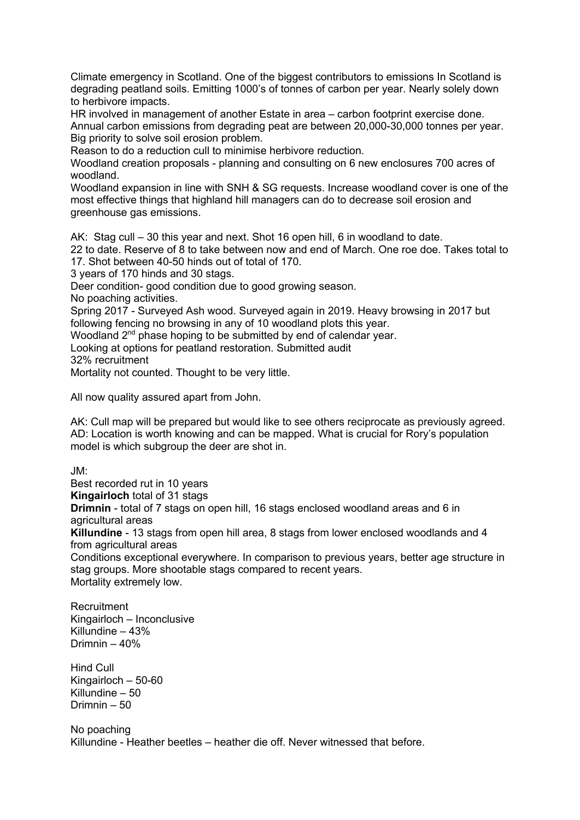Climate emergency in Scotland. One of the biggest contributors to emissions In Scotland is degrading peatland soils. Emitting 1000's of tonnes of carbon per year. Nearly solely down to herbivore impacts.

HR involved in management of another Estate in area – carbon footprint exercise done. Annual carbon emissions from degrading peat are between 20,000-30,000 tonnes per year. Big priority to solve soil erosion problem.

Reason to do a reduction cull to minimise herbivore reduction.

Woodland creation proposals - planning and consulting on 6 new enclosures 700 acres of woodland.

Woodland expansion in line with SNH & SG requests. Increase woodland cover is one of the most effective things that highland hill managers can do to decrease soil erosion and greenhouse gas emissions.

AK: Stag cull – 30 this year and next. Shot 16 open hill, 6 in woodland to date.

22 to date. Reserve of 8 to take between now and end of March. One roe doe. Takes total to 17. Shot between 40-50 hinds out of total of 170.

3 years of 170 hinds and 30 stags.

Deer condition- good condition due to good growing season.

No poaching activities.

Spring 2017 - Surveyed Ash wood. Surveyed again in 2019. Heavy browsing in 2017 but following fencing no browsing in any of 10 woodland plots this year.

Woodland 2<sup>nd</sup> phase hoping to be submitted by end of calendar year.

Looking at options for peatland restoration. Submitted audit

32% recruitment

Mortality not counted. Thought to be very little.

All now quality assured apart from John.

AK: Cull map will be prepared but would like to see others reciprocate as previously agreed. AD: Location is worth knowing and can be mapped. What is crucial for Rory's population model is which subgroup the deer are shot in.

JM:

Best recorded rut in 10 years **Kingairloch** total of 31 stags **Drimnin** - total of 7 stags on open hill, 16 stags enclosed woodland areas and 6 in agricultural areas **Killundine** - 13 stags from open hill area, 8 stags from lower enclosed woodlands and 4 from agricultural areas

Conditions exceptional everywhere. In comparison to previous years, better age structure in stag groups. More shootable stags compared to recent years. Mortality extremely low.

**Recruitment** Kingairloch – Inconclusive Killundine – 43% Drimnin – 40%

Hind Cull Kingairloch – 50-60 Killundine – 50 Drimnin – 50

No poaching Killundine - Heather beetles – heather die off. Never witnessed that before.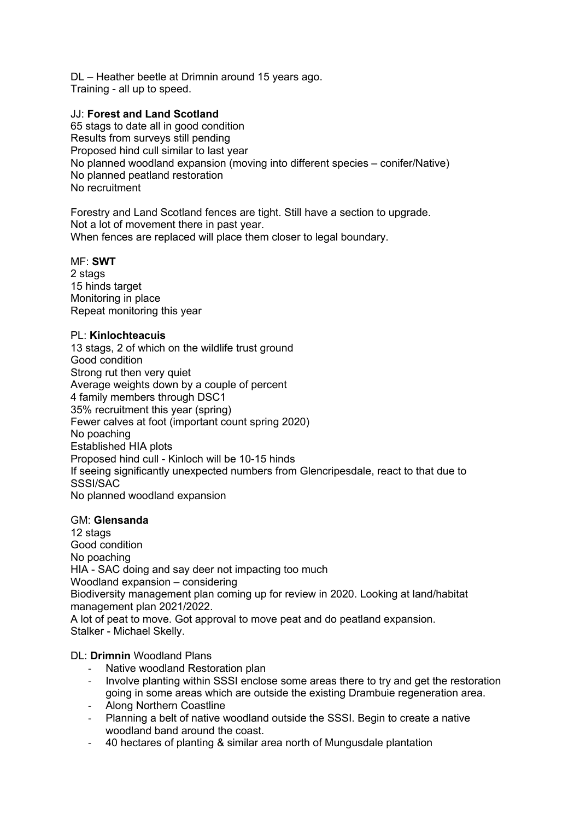DL – Heather beetle at Drimnin around 15 years ago. Training - all up to speed.

# JJ: **Forest and Land Scotland**

65 stags to date all in good condition Results from surveys still pending Proposed hind cull similar to last year No planned woodland expansion (moving into different species – conifer/Native) No planned peatland restoration No recruitment

Forestry and Land Scotland fences are tight. Still have a section to upgrade. Not a lot of movement there in past year. When fences are replaced will place them closer to legal boundary.

#### MF: **SWT**

2 stags 15 hinds target Monitoring in place Repeat monitoring this year

#### PL: **Kinlochteacuis**

13 stags, 2 of which on the wildlife trust ground Good condition Strong rut then very quiet Average weights down by a couple of percent 4 family members through DSC1 35% recruitment this year (spring) Fewer calves at foot (important count spring 2020) No poaching Established HIA plots Proposed hind cull - Kinloch will be 10-15 hinds If seeing significantly unexpected numbers from Glencripesdale, react to that due to SSSI/SAC No planned woodland expansion

# GM: **Glensanda**

12 stags Good condition No poaching HIA - SAC doing and say deer not impacting too much Woodland expansion – considering Biodiversity management plan coming up for review in 2020. Looking at land/habitat management plan 2021/2022. A lot of peat to move. Got approval to move peat and do peatland expansion. Stalker - Michael Skelly.

# DL: **Drimnin** Woodland Plans

- Native woodland Restoration plan
- Involve planting within SSSI enclose some areas there to try and get the restoration going in some areas which are outside the existing Drambuie regeneration area.
- Along Northern Coastline
- Planning a belt of native woodland outside the SSSI. Begin to create a native woodland band around the coast.
- 40 hectares of planting & similar area north of Mungusdale plantation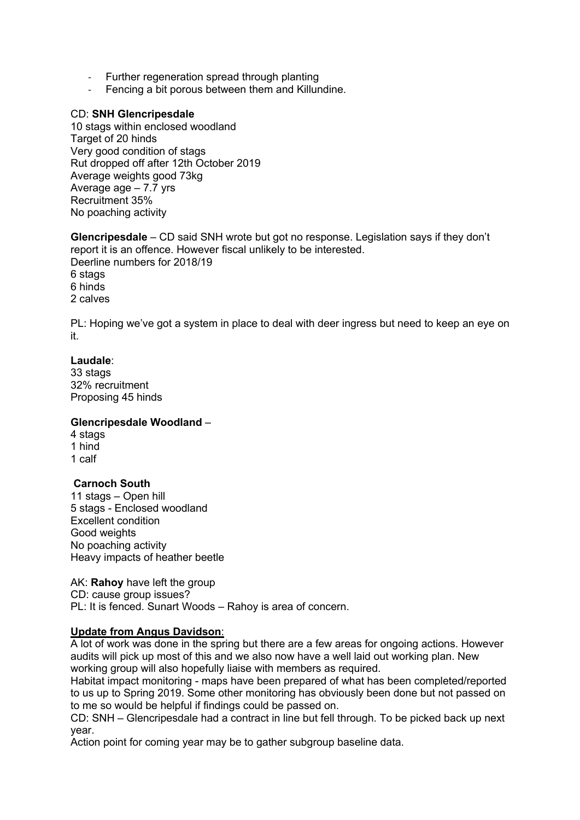- Further regeneration spread through planting
- Fencing a bit porous between them and Killundine.

#### CD: **SNH Glencripesdale**

10 stags within enclosed woodland Target of 20 hinds Very good condition of stags Rut dropped off after 12th October 2019 Average weights good 73kg Average age – 7.7 yrs Recruitment 35% No poaching activity

**Glencripesdale** – CD said SNH wrote but got no response. Legislation says if they don't report it is an offence. However fiscal unlikely to be interested. Deerline numbers for 2018/19 6 stags 6 hinds 2 calves

PL: Hoping we've got a system in place to deal with deer ingress but need to keep an eye on it.

#### **Laudale**:

33 stags 32% recruitment Proposing 45 hinds

#### **Glencripesdale Woodland** –

4 stags 1 hind 1 calf

#### **Carnoch South**

11 stags – Open hill 5 stags - Enclosed woodland Excellent condition Good weights No poaching activity Heavy impacts of heather beetle

AK: **Rahoy** have left the group CD: cause group issues? PL: It is fenced. Sunart Woods – Rahoy is area of concern.

# **Update from Angus Davidson**:

A lot of work was done in the spring but there are a few areas for ongoing actions. However audits will pick up most of this and we also now have a well laid out working plan. New working group will also hopefully liaise with members as required.

Habitat impact monitoring - maps have been prepared of what has been completed/reported to us up to Spring 2019. Some other monitoring has obviously been done but not passed on to me so would be helpful if findings could be passed on.

CD: SNH – Glencripesdale had a contract in line but fell through. To be picked back up next year.

Action point for coming year may be to gather subgroup baseline data.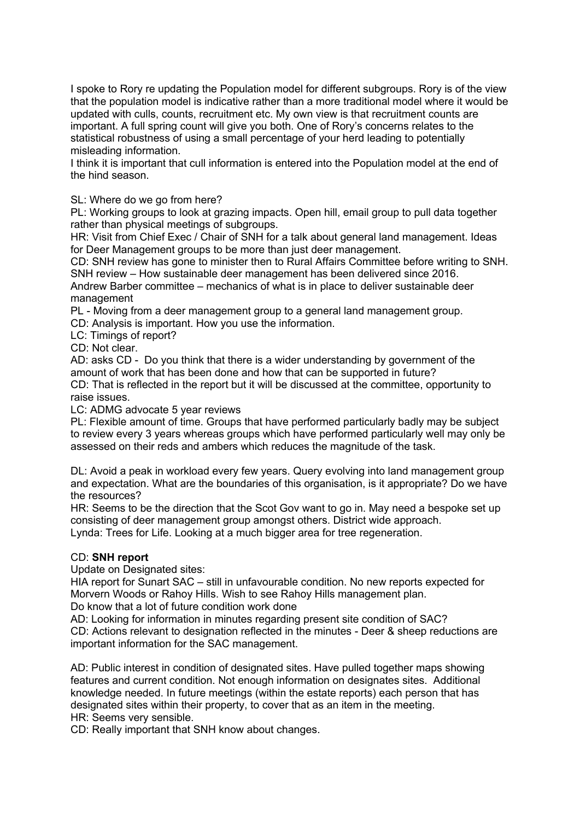I spoke to Rory re updating the Population model for different subgroups. Rory is of the view that the population model is indicative rather than a more traditional model where it would be updated with culls, counts, recruitment etc. My own view is that recruitment counts are important. A full spring count will give you both. One of Rory's concerns relates to the statistical robustness of using a small percentage of your herd leading to potentially misleading information.

I think it is important that cull information is entered into the Population model at the end of the hind season.

SL: Where do we go from here?

PL: Working groups to look at grazing impacts. Open hill, email group to pull data together rather than physical meetings of subgroups.

HR: Visit from Chief Exec / Chair of SNH for a talk about general land management. Ideas for Deer Management groups to be more than just deer management.

CD: SNH review has gone to minister then to Rural Affairs Committee before writing to SNH. SNH review – How sustainable deer management has been delivered since 2016.

Andrew Barber committee – mechanics of what is in place to deliver sustainable deer management

PL - Moving from a deer management group to a general land management group.

CD: Analysis is important. How you use the information.

LC: Timings of report?

CD: Not clear.

AD: asks CD - Do you think that there is a wider understanding by government of the amount of work that has been done and how that can be supported in future?

CD: That is reflected in the report but it will be discussed at the committee, opportunity to raise issues.

LC: ADMG advocate 5 year reviews

PL: Flexible amount of time. Groups that have performed particularly badly may be subject to review every 3 years whereas groups which have performed particularly well may only be assessed on their reds and ambers which reduces the magnitude of the task.

DL: Avoid a peak in workload every few years. Query evolving into land management group and expectation. What are the boundaries of this organisation, is it appropriate? Do we have the resources?

HR: Seems to be the direction that the Scot Gov want to go in. May need a bespoke set up consisting of deer management group amongst others. District wide approach.

Lynda: Trees for Life. Looking at a much bigger area for tree regeneration.

#### CD: **SNH report**

Update on Designated sites:

HIA report for Sunart SAC – still in unfavourable condition. No new reports expected for Morvern Woods or Rahoy Hills. Wish to see Rahoy Hills management plan.

Do know that a lot of future condition work done

AD: Looking for information in minutes regarding present site condition of SAC? CD: Actions relevant to designation reflected in the minutes - Deer & sheep reductions are important information for the SAC management.

AD: Public interest in condition of designated sites. Have pulled together maps showing features and current condition. Not enough information on designates sites. Additional knowledge needed. In future meetings (within the estate reports) each person that has designated sites within their property, to cover that as an item in the meeting. HR: Seems very sensible.

CD: Really important that SNH know about changes.